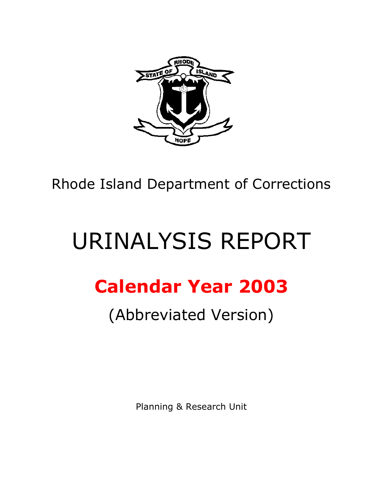

Rhode Island Department of Corrections

# URINALYSIS REPORT

## **Calendar Year 2003**

## (Abbreviated Version)

Planning & Research Unit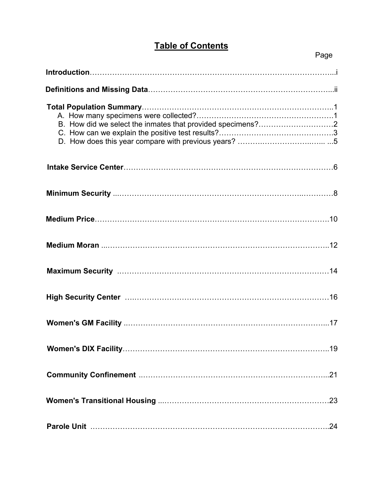### **Table of Contents**

#### en de la provincia de la provincia de la provincia de la provincia de la provincia de la provincia de la provi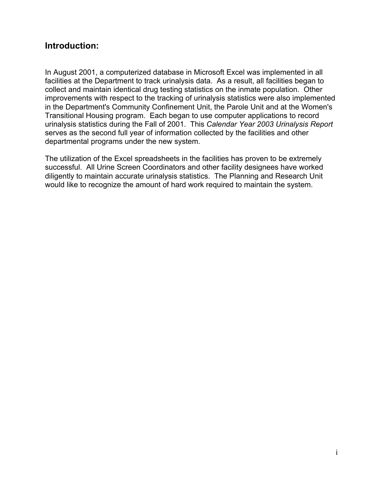#### **Introduction:**

In August 2001, a computerized database in Microsoft Excel was implemented in all facilities at the Department to track urinalysis data. As a result, all facilities began to collect and maintain identical drug testing statistics on the inmate population. Other improvements with respect to the tracking of urinalysis statistics were also implemented in the Department's Community Confinement Unit, the Parole Unit and at the Women's Transitional Housing program. Each began to use computer applications to record urinalysis statistics during the Fall of 2001. This *Calendar Year 2003 Urinalysis Report* serves as the second full year of information collected by the facilities and other departmental programs under the new system.

The utilization of the Excel spreadsheets in the facilities has proven to be extremely successful. All Urine Screen Coordinators and other facility designees have worked diligently to maintain accurate urinalysis statistics. The Planning and Research Unit would like to recognize the amount of hard work required to maintain the system.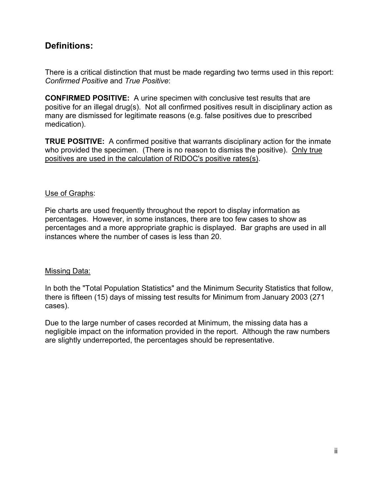#### **Definitions:**

There is a critical distinction that must be made regarding two terms used in this report: *Confirmed Positive* and *True Positive*:

**CONFIRMED POSITIVE:** A urine specimen with conclusive test results that are positive for an illegal drug(s). Not all confirmed positives result in disciplinary action as many are dismissed for legitimate reasons (e.g. false positives due to prescribed medication).

**TRUE POSITIVE:** A confirmed positive that warrants disciplinary action for the inmate who provided the specimen. (There is no reason to dismiss the positive). Only true positives are used in the calculation of RIDOC's positive rates(s).

#### Use of Graphs:

Pie charts are used frequently throughout the report to display information as percentages. However, in some instances, there are too few cases to show as percentages and a more appropriate graphic is displayed. Bar graphs are used in all instances where the number of cases is less than 20.

#### Missing Data:

In both the "Total Population Statistics" and the Minimum Security Statistics that follow, there is fifteen (15) days of missing test results for Minimum from January 2003 (271 cases).

Due to the large number of cases recorded at Minimum, the missing data has a negligible impact on the information provided in the report. Although the raw numbers are slightly underreported, the percentages should be representative.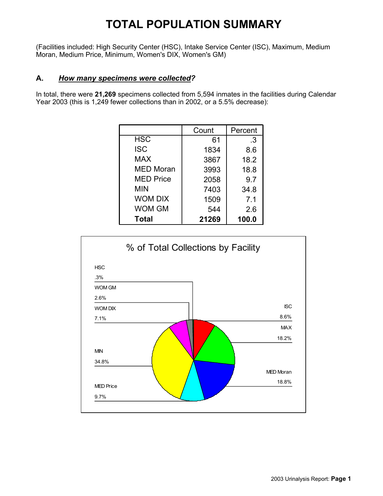### **TOTAL POPULATION SUMMARY**

(Facilities included: High Security Center (HSC), Intake Service Center (ISC), Maximum, Medium Moran, Medium Price, Minimum, Women's DIX, Women's GM)

#### **A.** *How many specimens were collected?*

In total, there were **21,269** specimens collected from 5,594 inmates in the facilities during Calendar Year 2003 (this is 1,249 fewer collections than in 2002, or a 5.5% decrease):

|                  | Count | Percent |
|------------------|-------|---------|
| <b>HSC</b>       | 61    | .3      |
| <b>ISC</b>       | 1834  | 8.6     |
| <b>MAX</b>       | 3867  | 18.2    |
| <b>MED Moran</b> | 3993  | 18.8    |
| <b>MED Price</b> | 2058  | 9.7     |
| MIN              | 7403  | 34.8    |
| <b>WOM DIX</b>   | 1509  | 7.1     |
| WOM GM           | 544   | 2.6     |
| <b>Total</b>     | 21269 | 100.0   |

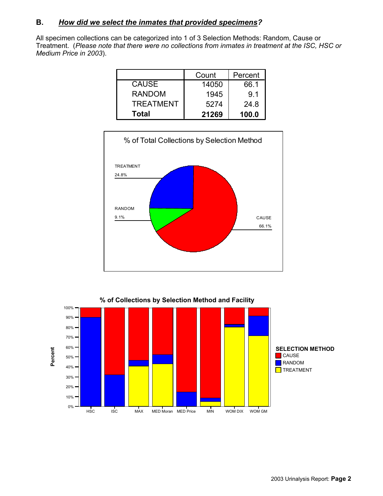#### **B.** *How did we select the inmates that provided specimens?*

All specimen collections can be categorized into 1 of 3 Selection Methods: Random, Cause or Treatment. (*Please note that there were no collections from inmates in treatment at the ISC, HSC or Medium Price in 2003*).

|                  | Count | Percent |
|------------------|-------|---------|
| <b>CAUSE</b>     | 14050 | 66.1    |
| <b>RANDOM</b>    | 1945  | 9.1     |
| <b>TREATMENT</b> | 5274  | 24.8    |
| <b>Total</b>     | 21269 | 100.0   |



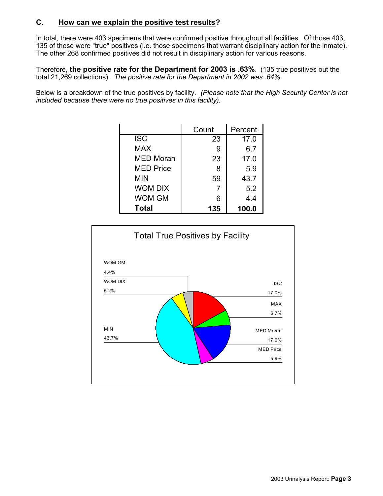#### **C. How can we explain the positive test results?**

In total, there were 403 specimens that were confirmed positive throughout all facilities. Of those 403, 135 of those were "true" positives (i.e. those specimens that warrant disciplinary action for the inmate). The other 268 confirmed positives did not result in disciplinary action for various reasons.

Therefore, **the positive rate for the Department for 2003 is .63%**. (135 true positives out the total 21,269 collections). *The positive rate for the Department in 2002 was .64%.*

Below is a breakdown of the true positives by facility. *(Please note that the High Security Center is not included because there were no true positives in this facility).*

|                  | Count | Percent |
|------------------|-------|---------|
| <b>ISC</b>       | 23    | 17.0    |
| <b>MAX</b>       | 9     | 6.7     |
| <b>MED Moran</b> | 23    | 17.0    |
| <b>MED Price</b> | 8     | 5.9     |
| MIN              | 59    | 43.7    |
| <b>WOM DIX</b>   | 7     | 5.2     |
| WOM GM           | 6     | 4.4     |
| <b>Total</b>     | 135   | 100.0   |

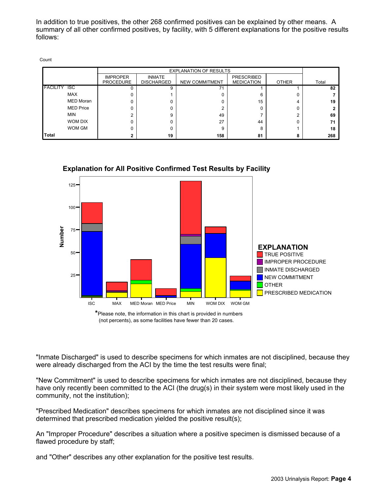In addition to true positives, the other 268 confirmed positives can be explained by other means. A summary of all other confirmed positives, by facility, with 5 different explanations for the positive results follows:

| × |  |
|---|--|

|                                   |                  | <b>EXPLANATION OF RESULTS</b>       |                                    |                       |                                        |       |       |
|-----------------------------------|------------------|-------------------------------------|------------------------------------|-----------------------|----------------------------------------|-------|-------|
|                                   |                  | <b>IMPROPER</b><br><b>PROCEDURE</b> | <b>INMATE</b><br><b>DISCHARGED</b> | <b>NEW COMMITMENT</b> | <b>PRESCRIBED</b><br><b>MEDICATION</b> | OTHER | Total |
| $\overline{c}$<br><b>FACILITY</b> |                  |                                     | 9                                  | 71                    |                                        |       | 82    |
|                                   | <b>MAX</b>       |                                     |                                    |                       | 6                                      |       |       |
|                                   | <b>MED Moran</b> |                                     |                                    |                       | 15                                     | 4     | 19    |
|                                   | <b>MED Price</b> |                                     |                                    |                       |                                        |       |       |
| <b>MIN</b>                        |                  |                                     | 9                                  | 49                    |                                        |       | 69    |
|                                   | <b>WOM DIX</b>   |                                     |                                    | 27                    | 44                                     |       |       |
|                                   | WOM GM           |                                     |                                    | 9                     | 8                                      |       | 18    |
| <b>Total</b>                      |                  |                                     | 19                                 | 158                   | 81                                     | 8     | 268   |



**Explanation for All Positive Confirmed Test Results by Facility**

**\***Please note, the information in this chart is provided in numbers (not percents), as some facilities have fewer than 20 cases.

"Inmate Discharged" is used to describe specimens for which inmates are not disciplined, because they were already discharged from the ACI by the time the test results were final;

"New Commitment" is used to describe specimens for which inmates are not disciplined, because they have only recently been committed to the ACI (the drug(s) in their system were most likely used in the community, not the institution);

"Prescribed Medication" describes specimens for which inmates are not disciplined since it was determined that prescribed medication yielded the positive result(s);

An "Improper Procedure" describes a situation where a positive specimen is dismissed because of a flawed procedure by staff;

and "Other" describes any other explanation for the positive test results.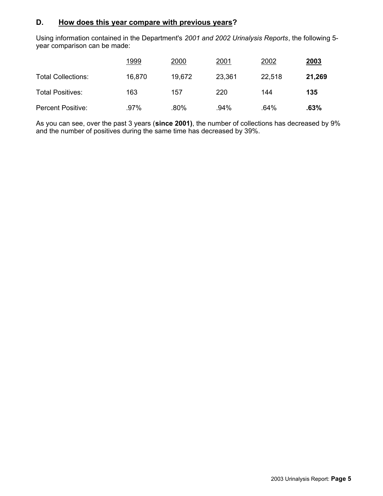#### **D. How does this year compare with previous years?**

Using information contained in the Department's *2001 and 2002 Urinalysis Reports*, the following 5 year comparison can be made:

|                           | 1999   | 2000   | 2001   | 2002   | <u>2003</u> |
|---------------------------|--------|--------|--------|--------|-------------|
| <b>Total Collections:</b> | 16,870 | 19,672 | 23,361 | 22,518 | 21,269      |
| <b>Total Positives:</b>   | 163    | 157    | 220    | 144    | 135         |
| <b>Percent Positive:</b>  | .97%   | .80%   | .94%   | .64%   | .63%        |

As you can see, over the past 3 years (**since 2001)**, the number of collections has decreased by 9% and the number of positives during the same time has decreased by 39%.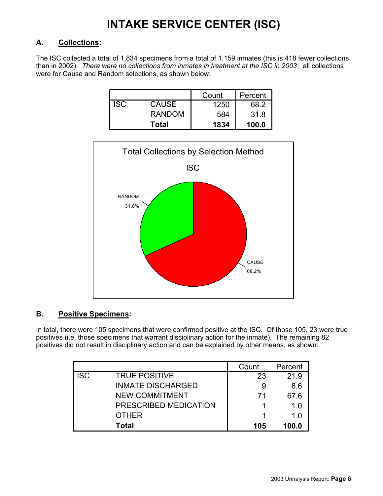### **INTAKE SERVICE CENTER (ISC)**

#### **A. Collections:**

The ISC collected a total of 1,834 specimens from a total of 1,159 inmates (this is 418 fewer collections than in 2002). *There were no collections from inmates in treatment at the ISC in 2003*; all collections were for Cause and Random selections, as shown below:

|     |               | Count | Percent |
|-----|---------------|-------|---------|
| ISC | <b>CAUSE</b>  | 1250  | 68.2    |
|     | <b>RANDOM</b> | 584   | 31.8    |
|     | Total         | 1834  | 100.0   |



#### **B. Positive Specimens:**

In total, there were 105 specimens that were confirmed positive at the ISC. Of those 105, 23 were true positives (i.e. those specimens that warrant disciplinary action for the inmate). The remaining 82 positives did not result in disciplinary action and can be explained by other means, as shown:

|            |                          | Count | Percent |
|------------|--------------------------|-------|---------|
| <b>ISC</b> | <b>TRUE POSITIVE</b>     | 23    | 21.9    |
|            | <b>INMATE DISCHARGED</b> | 9     | 8.6     |
|            | <b>NEW COMMITMENT</b>    | 71    | 67.6    |
|            | PRESCRIBED MEDICATION    |       | 1.0     |
|            | <b>OTHER</b>             |       | 1.0     |
|            | Total                    | 105   | 100.0   |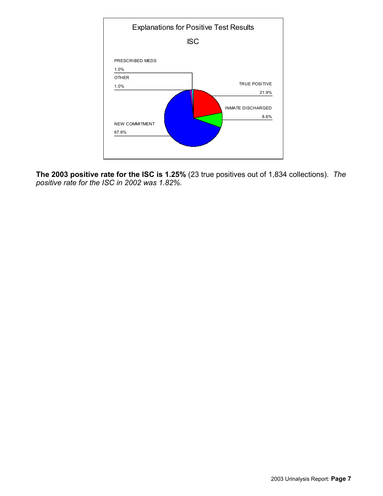

**The 2003 positive rate for the ISC is 1.25%** (23 true positives out of 1,834 collections). *The positive rate for the ISC in 2002 was 1.82%.*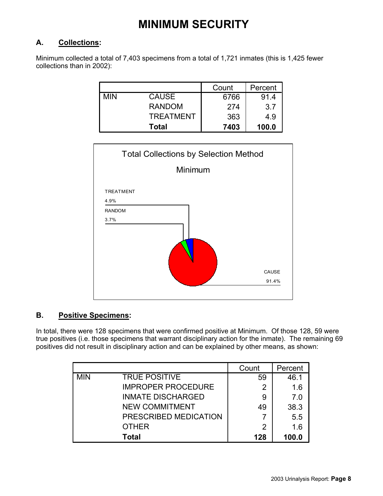### **MINIMUM SECURITY**

#### **A. Collections:**

Minimum collected a total of 7,403 specimens from a total of 1,721 inmates (this is 1,425 fewer collections than in 2002):

|            |                  | Count | Percent |
|------------|------------------|-------|---------|
| <b>MIN</b> | <b>CAUSE</b>     | 6766  | 91.4    |
|            | <b>RANDOM</b>    | 274   | 3.7     |
|            | <b>TREATMENT</b> | 363   | 4.9     |
|            | <b>Total</b>     | 7403  | 100.0   |



#### **B. Positive Specimens:**

In total, there were 128 specimens that were confirmed positive at Minimum. Of those 128, 59 were true positives (i.e. those specimens that warrant disciplinary action for the inmate). The remaining 69 positives did not result in disciplinary action and can be explained by other means, as shown:

|            |                           | Count | Percent |
|------------|---------------------------|-------|---------|
| <b>MIN</b> | <b>TRUE POSITIVE</b>      | 59    | 46.1    |
|            | <b>IMPROPER PROCEDURE</b> | 2     | 1.6     |
|            | <b>INMATE DISCHARGED</b>  | 9     | 7.0     |
|            | <b>NEW COMMITMENT</b>     | 49    | 38.3    |
|            | PRESCRIBED MEDICATION     |       | 5.5     |
|            | <b>OTHER</b>              | 2     | 1.6     |
|            | Total                     | 128   | 100.0   |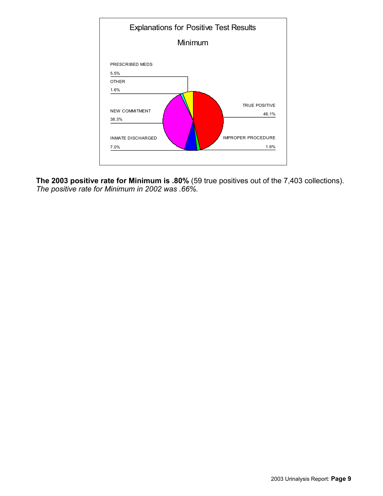

**The 2003 positive rate for Minimum is .80%** (59 true positives out of the 7,403 collections). *The positive rate for Minimum in 2002 was .66%.*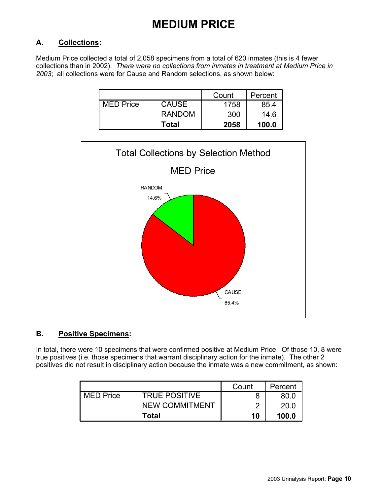### **MEDIUM PRICE**

#### **A. Collections:**

Medium Price collected a total of 2,058 specimens from a total of 620 inmates (this is 4 fewer collections than in 2002). *There were no collections from inmates in treatment at Medium Price in 2003*; all collections were for Cause and Random selections, as shown below:

|                  |               | Count | Percent |
|------------------|---------------|-------|---------|
| <b>MED Price</b> | <b>CAUSE</b>  | 1758  | 85.4    |
|                  | <b>RANDOM</b> | 300   | 14.6    |
|                  | <b>Total</b>  | 2058  | 100.0   |



#### **B. Positive Specimens:**

In total, there were 10 specimens that were confirmed positive at Medium Price. Of those 10, 8 were true positives (i.e. those specimens that warrant disciplinary action for the inmate). The other 2 positives did not result in disciplinary action because the inmate was a new commitment, as shown:

|                  |                       | Count | Percent |
|------------------|-----------------------|-------|---------|
| <b>MED Price</b> | <b>TRUE POSITIVE</b>  |       | 80.0    |
|                  | <b>NEW COMMITMENT</b> |       | 20.0    |
|                  | Total                 | 10    | 100.0   |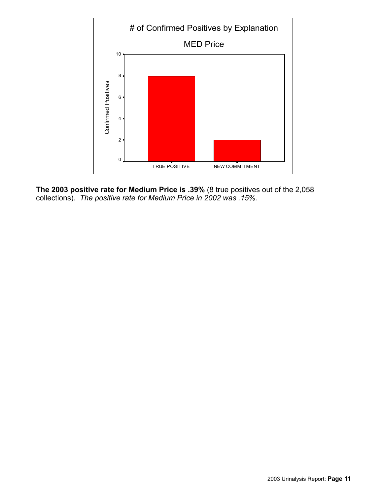

**The 2003 positive rate for Medium Price is .39%** (8 true positives out of the 2,058 collections). *The positive rate for Medium Price in 2002 was .15%.*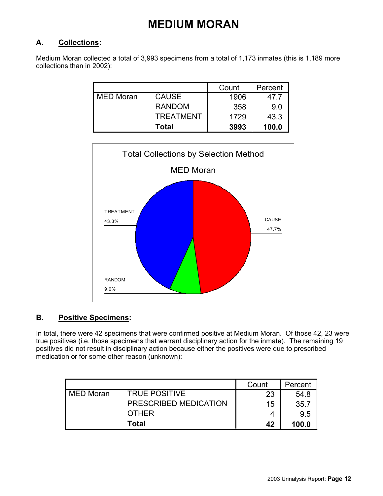### **MEDIUM MORAN**

#### **A. Collections:**

Medium Moran collected a total of 3,993 specimens from a total of 1,173 inmates (this is 1,189 more collections than in 2002):

|                  |                  | Count | Percent |
|------------------|------------------|-------|---------|
| <b>MED Moran</b> | <b>CAUSE</b>     | 1906  | 47.7    |
|                  | <b>RANDOM</b>    | 358   | 9.0     |
|                  | <b>TREATMENT</b> | 1729  | 43.3    |
|                  | Total            | 3993  | 100.0   |



#### **B. Positive Specimens:**

In total, there were 42 specimens that were confirmed positive at Medium Moran. Of those 42, 23 were true positives (i.e. those specimens that warrant disciplinary action for the inmate). The remaining 19 positives did not result in disciplinary action because either the positives were due to prescribed medication or for some other reason (unknown):

|                  |                       | Count | Percent |
|------------------|-----------------------|-------|---------|
| <b>MED Moran</b> | <b>TRUE POSITIVE</b>  | 23    | 54.8    |
|                  | PRESCRIBED MEDICATION | 15    | 35.7    |
|                  | <b>OTHER</b>          |       | 9.5     |
|                  | Total                 | 42    | 100.0   |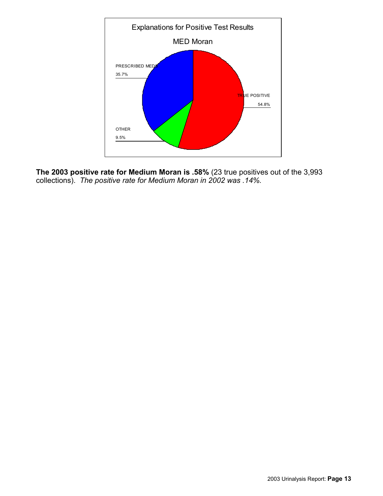

**The 2003 positive rate for Medium Moran is .58%** (23 true positives out of the 3,993 collections). *The positive rate for Medium Moran in 2002 was .14%.*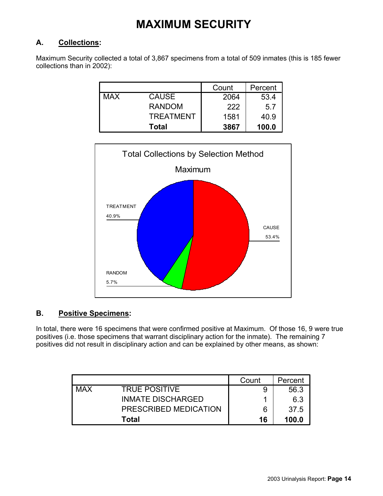### **MAXIMUM SECURITY**

#### **A. Collections:**

Maximum Security collected a total of 3,867 specimens from a total of 509 inmates (this is 185 fewer collections than in 2002):

|            |                  | Count | Percent |
|------------|------------------|-------|---------|
| <b>MAX</b> | <b>CAUSE</b>     | 2064  | 53.4    |
|            | <b>RANDOM</b>    | 222   | 5.7     |
|            | <b>TREATMENT</b> | 1581  | 40.9    |
|            | <b>Total</b>     | 3867  | 100.0   |



#### **B. Positive Specimens:**

In total, there were 16 specimens that were confirmed positive at Maximum. Of those 16, 9 were true positives (i.e. those specimens that warrant disciplinary action for the inmate). The remaining 7 positives did not result in disciplinary action and can be explained by other means, as shown:

|            |                          | Count | Percent |
|------------|--------------------------|-------|---------|
| <b>MAX</b> | <b>TRUE POSITIVE</b>     |       | 56.3    |
|            | <b>INMATE DISCHARGED</b> |       | 6.3     |
|            | PRESCRIBED MEDICATION    | 6     | 37.5    |
|            | Total                    | 16    | 100.0   |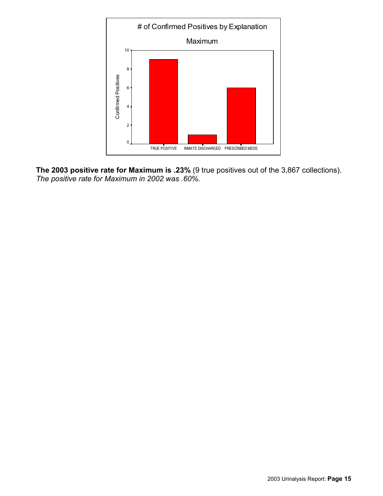

**The 2003 positive rate for Maximum is .23%** (9 true positives out of the 3,867 collections). *The positive rate for Maximum in 2002 was .60%.*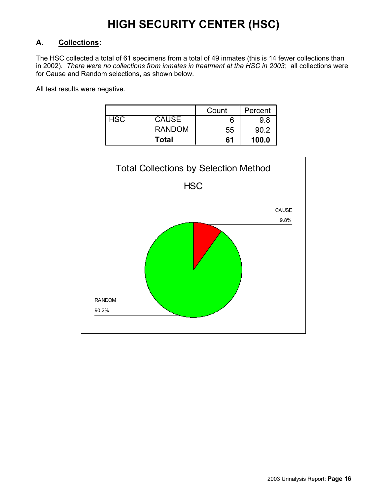### **HIGH SECURITY CENTER (HSC)**

#### **A. Collections:**

The HSC collected a total of 61 specimens from a total of 49 inmates (this is 14 fewer collections than in 2002). *There were no collections from inmates in treatment at the HSC in 2003*; all collections were for Cause and Random selections, as shown below.

All test results were negative.

|            |               | Count | Percent |
|------------|---------------|-------|---------|
| <b>HSC</b> | <b>CAUSE</b>  |       | 9.8     |
|            | <b>RANDOM</b> | 55    | 90.2    |
|            | <b>Total</b>  | 61    | 100.0   |

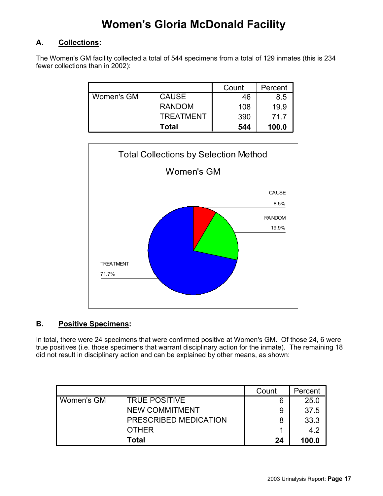### **Women's Gloria McDonald Facility**

#### **A. Collections:**

The Women's GM facility collected a total of 544 specimens from a total of 129 inmates (this is 234 fewer collections than in 2002):

|            |                  | Count | Percent |
|------------|------------------|-------|---------|
| Women's GM | <b>CAUSE</b>     | 46    | 8.5     |
|            | <b>RANDOM</b>    | 108   | 19.9    |
|            | <b>TREATMENT</b> | 390   | 71.7    |
|            | <b>Total</b>     | 544   | 100.0   |



#### **B. Positive Specimens:**

In total, there were 24 specimens that were confirmed positive at Women's GM. Of those 24, 6 were true positives (i.e. those specimens that warrant disciplinary action for the inmate). The remaining 18 did not result in disciplinary action and can be explained by other means, as shown:

|            |                       | Count | Percent |
|------------|-----------------------|-------|---------|
| Women's GM | <b>TRUE POSITIVE</b>  | 6     | 25.0    |
|            | <b>NEW COMMITMENT</b> | 9     | 37.5    |
|            | PRESCRIBED MEDICATION | 8     | 33.3    |
|            | <b>OTHER</b>          |       | 4.2     |
|            | Total                 | 24    | 100.0   |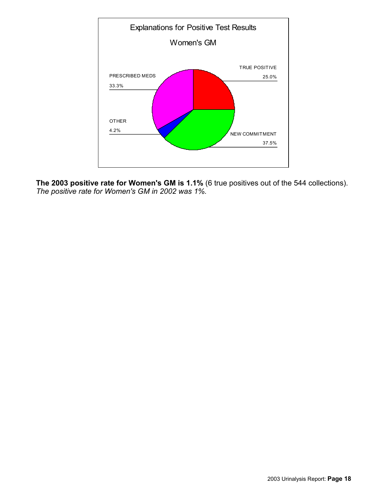

**The 2003 positive rate for Women's GM is 1.1%** (6 true positives out of the 544 collections). *The positive rate for Women's GM in 2002 was 1%.*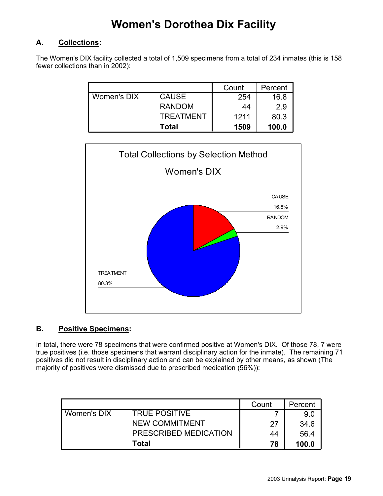### **Women's Dorothea Dix Facility**

#### **A. Collections:**

The Women's DIX facility collected a total of 1,509 specimens from a total of 234 inmates (this is 158 fewer collections than in 2002):

|                    |                  | Count | Percent |
|--------------------|------------------|-------|---------|
| <b>Women's DIX</b> | <b>CAUSE</b>     | 254   | 16.8    |
|                    | <b>RANDOM</b>    | 44    | 2.9     |
|                    | <b>TREATMENT</b> | 1211  | 80.3    |
|                    | <b>Total</b>     | 1509  | 100.0   |



#### **B. Positive Specimens:**

In total, there were 78 specimens that were confirmed positive at Women's DIX. Of those 78, 7 were true positives (i.e. those specimens that warrant disciplinary action for the inmate). The remaining 71 positives did not result in disciplinary action and can be explained by other means, as shown (The majority of positives were dismissed due to prescribed medication (56%)):

|             |                       | Count | Percent |
|-------------|-----------------------|-------|---------|
| Women's DIX | <b>TRUE POSITIVE</b>  |       | 9.0     |
|             | <b>NEW COMMITMENT</b> | 27    | 34.6    |
|             | PRESCRIBED MEDICATION | 44    | 56.4    |
|             | Total                 | 78    | 100.0   |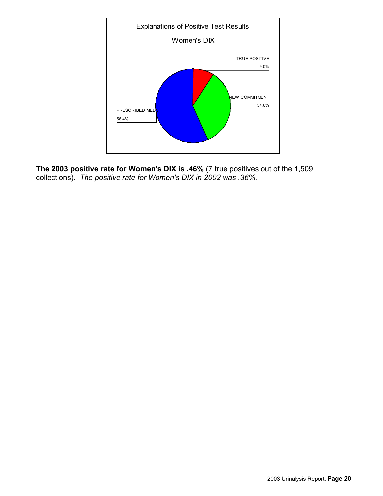

**The 2003 positive rate for Women's DIX is .46%** (7 true positives out of the 1,509 collections). *The positive rate for Women's DIX in 2002 was .36%.*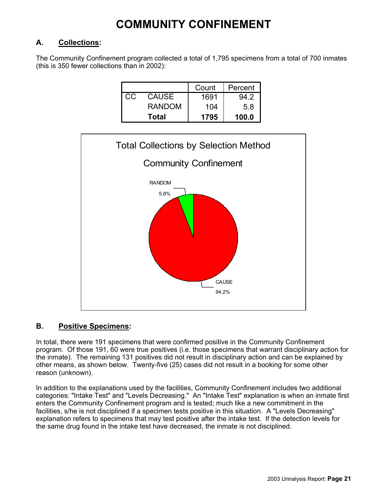### **COMMUNITY CONFINEMENT**

#### **A. Collections:**

The Community Confinement program collected a total of 1,795 specimens from a total of 700 inmates (this is 350 fewer collections than in 2002):

|     |               | Count | Percent |
|-----|---------------|-------|---------|
| CC. | <b>CAUSE</b>  | 1691  | 94.2    |
|     | <b>RANDOM</b> | 104   | 5.8     |
|     | Total         | 1795  | 100.0   |



#### **B. Positive Specimens:**

In total, there were 191 specimens that were confirmed positive in the Community Confinement program. Of those 191, 60 were true positives (i.e. those specimens that warrant disciplinary action for the inmate). The remaining 131 positives did not result in disciplinary action and can be explained by other means, as shown below. Twenty-five (25) cases did not result in a booking for some other reason (unknown).

In addition to the explanations used by the facilities, Community Confinement includes two additional categories: "Intake Test" and "Levels Decreasing." An "Intake Test" explanation is when an inmate first enters the Community Confinement program and is tested; much like a new commitment in the facilities, s/he is not disciplined if a specimen tests positive in this situation. A "Levels Decreasing" explanation refers to specimens that may test positive after the intake test. If the detection levels for the same drug found in the intake test have decreased, the inmate is not disciplined.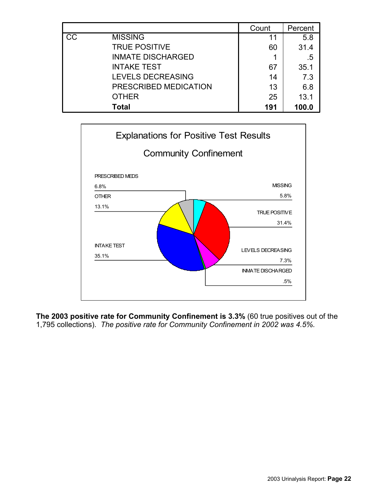|                 |                          | Count | Percent |
|-----------------|--------------------------|-------|---------|
| $\overline{cc}$ | <b>MISSING</b>           | 11    | 5.8     |
|                 | <b>TRUE POSITIVE</b>     | 60    | 31.4    |
|                 | <b>INMATE DISCHARGED</b> |       | .5      |
|                 | <b>INTAKE TEST</b>       | 67    | 35.1    |
|                 | LEVELS DECREASING        | 14    | 7.3     |
|                 | PRESCRIBED MEDICATION    | 13    | 6.8     |
|                 | <b>OTHER</b>             | 25    | 13.1    |
|                 | <b>Total</b>             | 191   | 100.0   |



**The 2003 positive rate for Community Confinement is 3.3%** (60 true positives out of the 1,795 collections). *The positive rate for Community Confinement in 2002 was 4.5%.*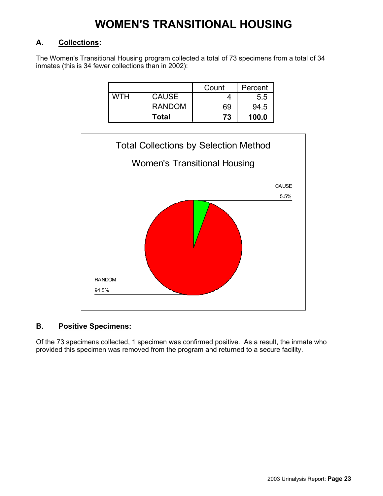### **WOMEN'S TRANSITIONAL HOUSING**

#### **A. Collections:**

The Women's Transitional Housing program collected a total of 73 specimens from a total of 34 inmates (this is 34 fewer collections than in 2002):

|     |               | Count | Percent |
|-----|---------------|-------|---------|
| мтн | <b>CAUSE</b>  |       | 5.5     |
|     | <b>RANDOM</b> | 69    | 94.5    |
|     | <b>Total</b>  | 73    | 100.0   |



#### **B. Positive Specimens:**

Of the 73 specimens collected, 1 specimen was confirmed positive. As a result, the inmate who provided this specimen was removed from the program and returned to a secure facility.